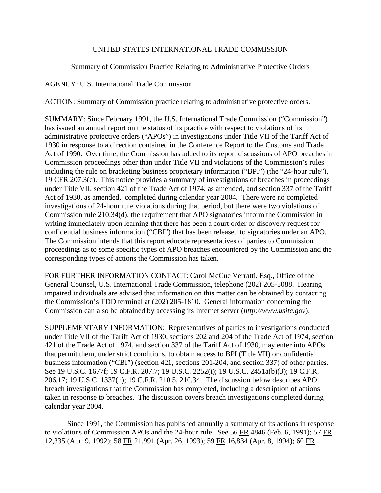# UNITED STATES INTERNATIONAL TRADE COMMISSION

Summary of Commission Practice Relating to Administrative Protective Orders

# AGENCY: U.S. International Trade Commission

ACTION: Summary of Commission practice relating to administrative protective orders.

SUMMARY: Since February 1991, the U.S. International Trade Commission ("Commission") has issued an annual report on the status of its practice with respect to violations of its administrative protective orders ("APOs") in investigations under Title VII of the Tariff Act of 1930 in response to a direction contained in the Conference Report to the Customs and Trade Act of 1990. Over time, the Commission has added to its report discussions of APO breaches in Commission proceedings other than under Title VII and violations of the Commission's rules including the rule on bracketing business proprietary information ("BPI") (the "24-hour rule"), 19 CFR 207.3(c). This notice provides a summary of investigations of breaches in proceedings under Title VII, section 421 of the Trade Act of 1974, as amended, and section 337 of the Tariff Act of 1930, as amended, completed during calendar year 2004. There were no completed investigations of 24-hour rule violations during that period, but there were two violations of Commission rule 210.34(d), the requirement that APO signatories inform the Commission in writing immediately upon learning that there has been a court order or discovery request for confidential business information ("CBI") that has been released to signatories under an APO. The Commission intends that this report educate representatives of parties to Commission proceedings as to some specific types of APO breaches encountered by the Commission and the corresponding types of actions the Commission has taken.

FOR FURTHER INFORMATION CONTACT: Carol McCue Verratti, Esq., Office of the General Counsel, U.S. International Trade Commission, telephone (202) 205-3088. Hearing impaired individuals are advised that information on this matter can be obtained by contacting the Commission's TDD terminal at (202) 205-1810. General information concerning the Commission can also be obtained by accessing its Internet server (*http://www.usitc.gov*).

SUPPLEMENTARY INFORMATION: Representatives of parties to investigations conducted under Title VII of the Tariff Act of 1930, sections 202 and 204 of the Trade Act of 1974, section 421 of the Trade Act of 1974, and section 337 of the Tariff Act of 1930, may enter into APOs that permit them, under strict conditions, to obtain access to BPI (Title VII) or confidential business information ("CBI") (section 421, sections 201-204, and section 337) of other parties. See 19 U.S.C. 1677f; 19 C.F.R. 207.7; 19 U.S.C. 2252(i); 19 U.S.C. 2451a(b)(3); 19 C.F.R. 206.17; 19 U.S.C. 1337(n); 19 C.F.R. 210.5, 210.34. The discussion below describes APO breach investigations that the Commission has completed, including a description of actions taken in response to breaches. The discussion covers breach investigations completed during calendar year 2004.

Since 1991, the Commission has published annually a summary of its actions in response to violations of Commission APOs and the 24-hour rule. See 56 FR 4846 (Feb. 6, 1991); 57 FR 12,335 (Apr. 9, 1992); 58 FR 21,991 (Apr. 26, 1993); 59 FR 16,834 (Apr. 8, 1994); 60 FR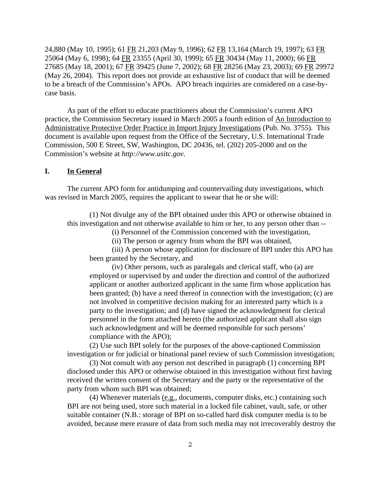24,880 (May 10, 1995); 61 FR 21,203 (May 9, 1996); 62 FR 13,164 (March 19, 1997); 63 FR 25064 (May 6, 1998); 64 FR 23355 (April 30, 1999); 65 FR 30434 (May 11, 2000); 66 FR 27685 (May 18, 2001); 67 FR 39425 (June 7, 2002); 68 FR 28256 (May 23, 2003); 69 FR 29972 (May 26, 2004). This report does not provide an exhaustive list of conduct that will be deemed to be a breach of the Commission's APOs. APO breach inquiries are considered on a case-bycase basis.

As part of the effort to educate practitioners about the Commission's current APO practice, the Commission Secretary issued in March 2005 a fourth edition of An Introduction to Administrative Protective Order Practice in Import Injury Investigations (Pub. No. 3755). This document is available upon request from the Office of the Secretary, U.S. International Trade Commission, 500 E Street, SW, Washington, DC 20436, tel. (202) 205-2000 and on the Commission's website at *http://www.usitc.gov*.

# **I. In General**

The current APO form for antidumping and countervailing duty investigations, which was revised in March 2005, requires the applicant to swear that he or she will:

(1) Not divulge any of the BPI obtained under this APO or otherwise obtained in this investigation and not otherwise available to him or her, to any person other than --

(i) Personnel of the Commission concerned with the investigation,

(ii) The person or agency from whom the BPI was obtained,

(iii) A person whose application for disclosure of BPI under this APO has been granted by the Secretary, and

(iv) Other persons, such as paralegals and clerical staff, who (a) are employed or supervised by and under the direction and control of the authorized applicant or another authorized applicant in the same firm whose application has been granted; (b) have a need thereof in connection with the investigation; (c) are not involved in competitive decision making for an interested party which is a party to the investigation; and (d) have signed the acknowledgment for clerical personnel in the form attached hereto (the authorized applicant shall also sign such acknowledgment and will be deemed responsible for such persons' compliance with the APO);

(2) Use such BPI solely for the purposes of the above-captioned Commission investigation or for judicial or binational panel review of such Commission investigation;

(3) Not consult with any person not described in paragraph (1) concerning BPI disclosed under this APO or otherwise obtained in this investigation without first having received the written consent of the Secretary and the party or the representative of the party from whom such BPI was obtained;

(4) Whenever materials (e.g., documents, computer disks, etc.) containing such BPI are not being used, store such material in a locked file cabinet, vault, safe, or other suitable container (N.B.: storage of BPI on so-called hard disk computer media is to be avoided, because mere erasure of data from such media may not irrecoverably destroy the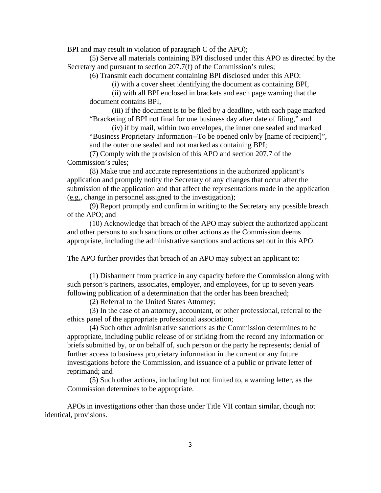BPI and may result in violation of paragraph C of the APO);

(5) Serve all materials containing BPI disclosed under this APO as directed by the Secretary and pursuant to section 207.7(f) of the Commission's rules;

(6) Transmit each document containing BPI disclosed under this APO:

(i) with a cover sheet identifying the document as containing BPI,

(ii) with all BPI enclosed in brackets and each page warning that the document contains BPI,

(iii) if the document is to be filed by a deadline, with each page marked "Bracketing of BPI not final for one business day after date of filing," and

(iv) if by mail, within two envelopes, the inner one sealed and marked "Business Proprietary Information--To be opened only by [name of recipient]", and the outer one sealed and not marked as containing BPI;

(7) Comply with the provision of this APO and section 207.7 of the Commission's rules;

(8) Make true and accurate representations in the authorized applicant's application and promptly notify the Secretary of any changes that occur after the submission of the application and that affect the representations made in the application (e.g., change in personnel assigned to the investigation);

(9) Report promptly and confirm in writing to the Secretary any possible breach of the APO; and

(10) Acknowledge that breach of the APO may subject the authorized applicant and other persons to such sanctions or other actions as the Commission deems appropriate, including the administrative sanctions and actions set out in this APO.

The APO further provides that breach of an APO may subject an applicant to:

(1) Disbarment from practice in any capacity before the Commission along with such person's partners, associates, employer, and employees, for up to seven years following publication of a determination that the order has been breached;

(2) Referral to the United States Attorney;

(3) In the case of an attorney, accountant, or other professional, referral to the ethics panel of the appropriate professional association;

(4) Such other administrative sanctions as the Commission determines to be appropriate, including public release of or striking from the record any information or briefs submitted by, or on behalf of, such person or the party he represents; denial of further access to business proprietary information in the current or any future investigations before the Commission, and issuance of a public or private letter of reprimand; and

(5) Such other actions, including but not limited to, a warning letter, as the Commission determines to be appropriate.

APOs in investigations other than those under Title VII contain similar, though not identical, provisions.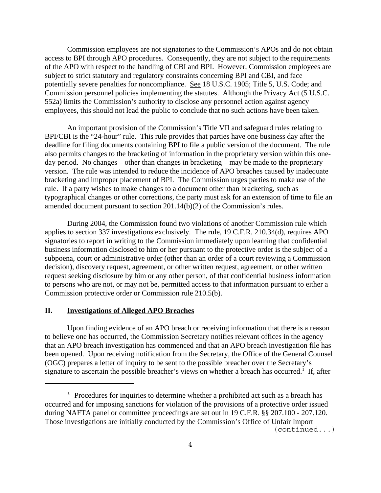Commission employees are not signatories to the Commission's APOs and do not obtain access to BPI through APO procedures. Consequently, they are not subject to the requirements of the APO with respect to the handling of CBI and BPI. However, Commission employees are subject to strict statutory and regulatory constraints concerning BPI and CBI, and face potentially severe penalties for noncompliance. See 18 U.S.C. 1905; Title 5, U.S. Code; and Commission personnel policies implementing the statutes. Although the Privacy Act (5 U.S.C. 552a) limits the Commission's authority to disclose any personnel action against agency employees, this should not lead the public to conclude that no such actions have been taken.

An important provision of the Commission's Title VII and safeguard rules relating to BPI/CBI is the "24-hour" rule. This rule provides that parties have one business day after the deadline for filing documents containing BPI to file a public version of the document. The rule also permits changes to the bracketing of information in the proprietary version within this oneday period. No changes – other than changes in bracketing – may be made to the proprietary version. The rule was intended to reduce the incidence of APO breaches caused by inadequate bracketing and improper placement of BPI. The Commission urges parties to make use of the rule. If a party wishes to make changes to a document other than bracketing, such as typographical changes or other corrections, the party must ask for an extension of time to file an amended document pursuant to section 201.14(b)(2) of the Commission's rules.

During 2004, the Commission found two violations of another Commission rule which applies to section 337 investigations exclusively. The rule, 19 C.F.R. 210.34(d), requires APO signatories to report in writing to the Commission immediately upon learning that confidential business information disclosed to him or her pursuant to the protective order is the subject of a subpoena, court or administrative order (other than an order of a court reviewing a Commission decision), discovery request, agreement, or other written request, agreement, or other written request seeking disclosure by him or any other person, of that confidential business information to persons who are not, or may not be, permitted access to that information pursuant to either a Commission protective order or Commission rule 210.5(b).

#### **II. Investigations of Alleged APO Breaches**

Upon finding evidence of an APO breach or receiving information that there is a reason to believe one has occurred, the Commission Secretary notifies relevant offices in the agency that an APO breach investigation has commenced and that an APO breach investigation file has been opened. Upon receiving notification from the Secretary, the Office of the General Counsel (OGC) prepares a letter of inquiry to be sent to the possible breacher over the Secretary's signature to ascertain the possible breacher's views on whether a breach has occurred.<sup>1</sup> If, after

 $1$  Procedures for inquiries to determine whether a prohibited act such as a breach has occurred and for imposing sanctions for violation of the provisions of a protective order issued during NAFTA panel or committee proceedings are set out in 19 C.F.R. §§ 207.100 - 207.120. Those investigations are initially conducted by the Commission's Office of Unfair Import (continued...)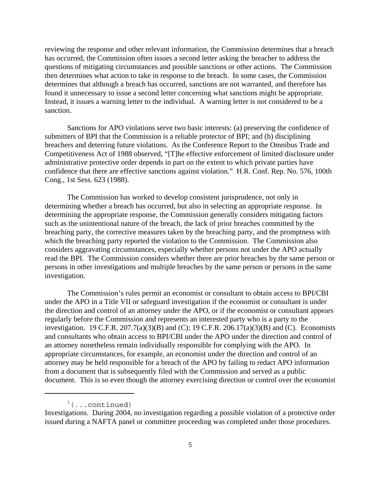reviewing the response and other relevant information, the Commission determines that a breach has occurred, the Commission often issues a second letter asking the breacher to address the questions of mitigating circumstances and possible sanctions or other actions. The Commission then determines what action to take in response to the breach. In some cases, the Commission determines that although a breach has occurred, sanctions are not warranted, and therefore has found it unnecessary to issue a second letter concerning what sanctions might be appropriate. Instead, it issues a warning letter to the individual. A warning letter is not considered to be a sanction.

Sanctions for APO violations serve two basic interests: (a) preserving the confidence of submitters of BPI that the Commission is a reliable protector of BPI; and (b) disciplining breachers and deterring future violations. As the Conference Report to the Omnibus Trade and Competitiveness Act of 1988 observed, "[T]he effective enforcement of limited disclosure under administrative protective order depends in part on the extent to which private parties have confidence that there are effective sanctions against violation." H.R. Conf. Rep. No. 576, 100th Cong., 1st Sess. 623 (1988).

The Commission has worked to develop consistent jurisprudence, not only in determining whether a breach has occurred, but also in selecting an appropriate response. In determining the appropriate response, the Commission generally considers mitigating factors such as the unintentional nature of the breach, the lack of prior breaches committed by the breaching party, the corrective measures taken by the breaching party, and the promptness with which the breaching party reported the violation to the Commission. The Commission also considers aggravating circumstances, especially whether persons not under the APO actually read the BPI. The Commission considers whether there are prior breaches by the same person or persons in other investigations and multiple breaches by the same person or persons in the same investigation.

The Commission's rules permit an economist or consultant to obtain access to BPI/CBI under the APO in a Title VII or safeguard investigation if the economist or consultant is under the direction and control of an attorney under the APO, or if the economist or consultant appears regularly before the Commission and represents an interested party who is a party to the investigation. 19 C.F.R. 207.7(a)(3)(B) and (C); 19 C.F.R. 206.17(a)(3)(B) and (C). Economists and consultants who obtain access to BPI/CBI under the APO under the direction and control of an attorney nonetheless remain individually responsible for complying with the APO. In appropriate circumstances, for example, an economist under the direction and control of an attorney may be held responsible for a breach of the APO by failing to redact APO information from a document that is subsequently filed with the Commission and served as a public document. This is so even though the attorney exercising direction or control over the economist

 $($ ...continued)

Investigations. During 2004, no investigation regarding a possible violation of a protective order issued during a NAFTA panel or committee proceeding was completed under those procedures.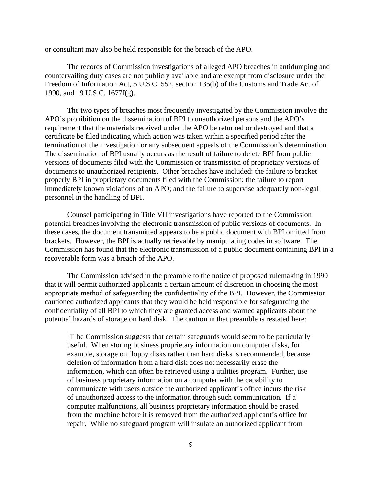or consultant may also be held responsible for the breach of the APO.

The records of Commission investigations of alleged APO breaches in antidumping and countervailing duty cases are not publicly available and are exempt from disclosure under the Freedom of Information Act, 5 U.S.C. 552, section 135(b) of the Customs and Trade Act of 1990, and 19 U.S.C. 1677f(g).

The two types of breaches most frequently investigated by the Commission involve the APO's prohibition on the dissemination of BPI to unauthorized persons and the APO's requirement that the materials received under the APO be returned or destroyed and that a certificate be filed indicating which action was taken within a specified period after the termination of the investigation or any subsequent appeals of the Commission's determination. The dissemination of BPI usually occurs as the result of failure to delete BPI from public versions of documents filed with the Commission or transmission of proprietary versions of documents to unauthorized recipients. Other breaches have included: the failure to bracket properly BPI in proprietary documents filed with the Commission; the failure to report immediately known violations of an APO; and the failure to supervise adequately non-legal personnel in the handling of BPI.

Counsel participating in Title VII investigations have reported to the Commission potential breaches involving the electronic transmission of public versions of documents. In these cases, the document transmitted appears to be a public document with BPI omitted from brackets. However, the BPI is actually retrievable by manipulating codes in software. The Commission has found that the electronic transmission of a public document containing BPI in a recoverable form was a breach of the APO.

The Commission advised in the preamble to the notice of proposed rulemaking in 1990 that it will permit authorized applicants a certain amount of discretion in choosing the most appropriate method of safeguarding the confidentiality of the BPI. However, the Commission cautioned authorized applicants that they would be held responsible for safeguarding the confidentiality of all BPI to which they are granted access and warned applicants about the potential hazards of storage on hard disk. The caution in that preamble is restated here:

[T]he Commission suggests that certain safeguards would seem to be particularly useful. When storing business proprietary information on computer disks, for example, storage on floppy disks rather than hard disks is recommended, because deletion of information from a hard disk does not necessarily erase the information, which can often be retrieved using a utilities program. Further, use of business proprietary information on a computer with the capability to communicate with users outside the authorized applicant's office incurs the risk of unauthorized access to the information through such communication. If a computer malfunctions, all business proprietary information should be erased from the machine before it is removed from the authorized applicant's office for repair. While no safeguard program will insulate an authorized applicant from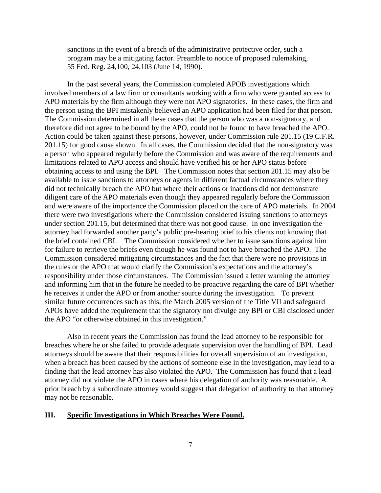sanctions in the event of a breach of the administrative protective order, such a program may be a mitigating factor. Preamble to notice of proposed rulemaking, 55 Fed. Reg. 24,100, 24,103 (June 14, 1990).

In the past several years, the Commission completed APOB investigations which involved members of a law firm or consultants working with a firm who were granted access to APO materials by the firm although they were not APO signatories. In these cases, the firm and the person using the BPI mistakenly believed an APO application had been filed for that person. The Commission determined in all these cases that the person who was a non-signatory, and therefore did not agree to be bound by the APO, could not be found to have breached the APO. Action could be taken against these persons, however, under Commission rule 201.15 (19 C.F.R. 201.15) for good cause shown. In all cases, the Commission decided that the non-signatory was a person who appeared regularly before the Commission and was aware of the requirements and limitations related to APO access and should have verified his or her APO status before obtaining access to and using the BPI. The Commission notes that section 201.15 may also be available to issue sanctions to attorneys or agents in different factual circumstances where they did not technically breach the APO but where their actions or inactions did not demonstrate diligent care of the APO materials even though they appeared regularly before the Commission and were aware of the importance the Commission placed on the care of APO materials. In 2004 there were two investigations where the Commission considered issuing sanctions to attorneys under section 201.15, but determined that there was not good cause. In one investigation the attorney had forwarded another party's public pre-hearing brief to his clients not knowing that the brief contained CBI. The Commission considered whether to issue sanctions against him for failure to retrieve the briefs even though he was found not to have breached the APO. The Commission considered mitigating circumstances and the fact that there were no provisions in the rules or the APO that would clarify the Commission's expectations and the attorney's responsibility under those circumstances. The Commission issued a letter warning the attorney and informing him that in the future he needed to be proactive regarding the care of BPI whether he receives it under the APO or from another source during the investigation. To prevent similar future occurrences such as this, the March 2005 version of the Title VII and safeguard APOs have added the requirement that the signatory not divulge any BPI or CBI disclosed under the APO "or otherwise obtained in this investigation."

Also in recent years the Commission has found the lead attorney to be responsible for breaches where he or she failed to provide adequate supervision over the handling of BPI. Lead attorneys should be aware that their responsibilities for overall supervision of an investigation, when a breach has been caused by the actions of someone else in the investigation, may lead to a finding that the lead attorney has also violated the APO. The Commission has found that a lead attorney did not violate the APO in cases where his delegation of authority was reasonable. A prior breach by a subordinate attorney would suggest that delegation of authority to that attorney may not be reasonable.

#### **III. Specific Investigations in Which Breaches Were Found.**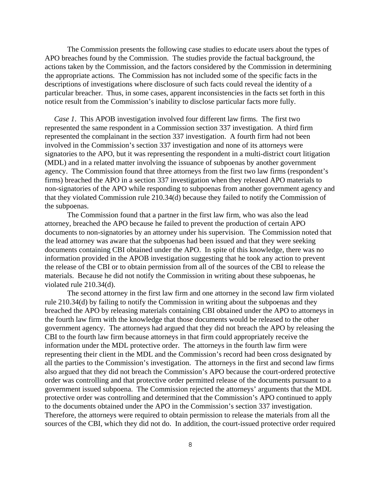The Commission presents the following case studies to educate users about the types of APO breaches found by the Commission. The studies provide the factual background, the actions taken by the Commission, and the factors considered by the Commission in determining the appropriate actions. The Commission has not included some of the specific facts in the descriptions of investigations where disclosure of such facts could reveal the identity of a particular breacher. Thus, in some cases, apparent inconsistencies in the facts set forth in this notice result from the Commission's inability to disclose particular facts more fully.

*Case 1.* This APOB investigation involved four different law firms. The first two represented the same respondent in a Commission section 337 investigation. A third firm represented the complainant in the section 337 investigation. A fourth firm had not been involved in the Commission's section 337 investigation and none of its attorneys were signatories to the APO, but it was representing the respondent in a multi-district court litigation (MDL) and in a related matter involving the issuance of subpoenas by another government agency. The Commission found that three attorneys from the first two law firms (respondent's firms) breached the APO in a section 337 investigation when they released APO materials to non-signatories of the APO while responding to subpoenas from another government agency and that they violated Commission rule 210.34(d) because they failed to notify the Commission of the subpoenas.

The Commission found that a partner in the first law firm, who was also the lead attorney, breached the APO because he failed to prevent the production of certain APO documents to non-signatories by an attorney under his supervision. The Commission noted that the lead attorney was aware that the subpoenas had been issued and that they were seeking documents containing CBI obtained under the APO. In spite of this knowledge, there was no information provided in the APOB investigation suggesting that he took any action to prevent the release of the CBI or to obtain permission from all of the sources of the CBI to release the materials. Because he did not notify the Commission in writing about these subpoenas, he violated rule 210.34(d).

The second attorney in the first law firm and one attorney in the second law firm violated rule 210.34(d) by failing to notify the Commission in writing about the subpoenas and they breached the APO by releasing materials containing CBI obtained under the APO to attorneys in the fourth law firm with the knowledge that those documents would be released to the other government agency. The attorneys had argued that they did not breach the APO by releasing the CBI to the fourth law firm because attorneys in that firm could appropriately receive the information under the MDL protective order. The attorneys in the fourth law firm were representing their client in the MDL and the Commission's record had been cross designated by all the parties to the Commission's investigation. The attorneys in the first and second law firms also argued that they did not breach the Commission's APO because the court-ordered protective order was controlling and that protective order permitted release of the documents pursuant to a government issued subpoena. The Commission rejected the attorneys' arguments that the MDL protective order was controlling and determined that the Commission's APO continued to apply to the documents obtained under the APO in the Commission's section 337 investigation. Therefore, the attorneys were required to obtain permission to release the materials from all the sources of the CBI, which they did not do. In addition, the court-issued protective order required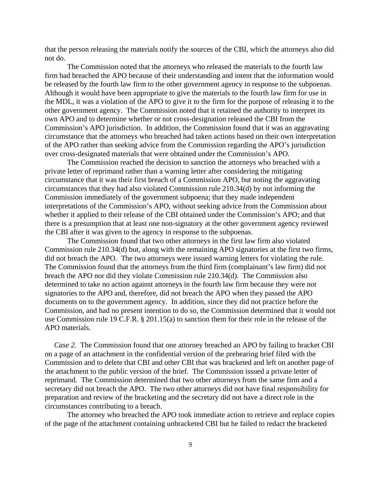that the person releasing the materials notify the sources of the CBI, which the attorneys also did not do.

The Commission noted that the attorneys who released the materials to the fourth law firm had breached the APO because of their understanding and intent that the information would be released by the fourth law firm to the other government agency in response to the subpoenas. Although it would have been appropriate to give the materials to the fourth law firm for use in the MDL, it was a violation of the APO to give it to the firm for the purpose of releasing it to the other government agency. The Commission noted that it retained the authority to interpret its own APO and to determine whether or not cross-designation released the CBI from the Commission's APO jurisdiction. In addition, the Commission found that it was an aggravating circumstance that the attorneys who breached had taken actions based on their own interpretation of the APO rather than seeking advice from the Commission regarding the APO's jurisdiction over cross-designated materials that were obtained under the Commission's APO.

The Commission reached the decision to sanction the attorneys who breached with a private letter of reprimand rather than a warning letter after considering the mitigating circumstance that it was their first breach of a Commission APO, but noting the aggravating circumstances that they had also violated Commission rule 210.34(d) by not informing the Commission immediately of the government subpoena; that they made independent interpretations of the Commission's APO, without seeking advice from the Commission about whether it applied to their release of the CBI obtained under the Commission's APO; and that there is a presumption that at least one non-signatory at the other government agency reviewed the CBI after it was given to the agency in response to the subpoenas.

The Commission found that two other attorneys in the first law firm also violated Commission rule 210.34(d) but, along with the remaining APO signatories at the first two firms, did not breach the APO. The two attorneys were issued warning letters for violating the rule. The Commission found that the attorneys from the third firm (complainant's law firm) did not breach the APO nor did they violate Commission rule 210.34(d). The Commission also determined to take no action against attorneys in the fourth law firm because they were not signatories to the APO and, therefore, did not breach the APO when they passed the APO documents on to the government agency. In addition, since they did not practice before the Commission, and had no present intention to do so, the Commission determined that it would not use Commission rule 19 C.F.R. § 201.15(a) to sanction them for their role in the release of the APO materials.

 *Case 2.* The Commission found that one attorney breached an APO by failing to bracket CBI on a page of an attachment in the confidential version of the prehearing brief filed with the Commission and to delete that CBI and other CBI that was bracketed and left on another page of the attachment to the public version of the brief. The Commission issued a private letter of reprimand. The Commission determined that two other attorneys from the same firm and a secretary did not breach the APO. The two other attorneys did not have final responsibility for preparation and review of the bracketing and the secretary did not have a direct role in the circumstances contributing to a breach.

The attorney who breached the APO took immediate action to retrieve and replace copies of the page of the attachment containing unbracketed CBI but he failed to redact the bracketed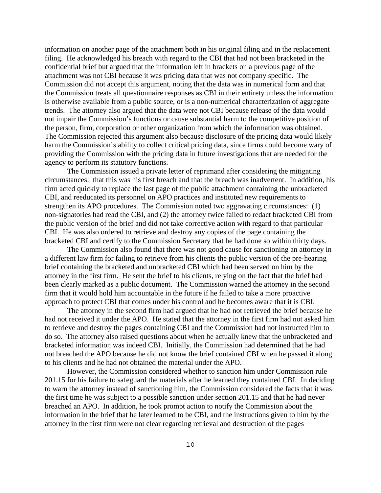information on another page of the attachment both in his original filing and in the replacement filing. He acknowledged his breach with regard to the CBI that had not been bracketed in the confidential brief but argued that the information left in brackets on a previous page of the attachment was not CBI because it was pricing data that was not company specific. The Commission did not accept this argument, noting that the data was in numerical form and that the Commission treats all questionnaire responses as CBI in their entirety unless the information is otherwise available from a public source, or is a non-numerical characterization of aggregate trends. The attorney also argued that the data were not CBI because release of the data would not impair the Commission's functions or cause substantial harm to the competitive position of the person, firm, corporation or other organization from which the information was obtained. The Commission rejected this argument also because disclosure of the pricing data would likely harm the Commission's ability to collect critical pricing data, since firms could become wary of providing the Commission with the pricing data in future investigations that are needed for the agency to perform its statutory functions.

The Commission issued a private letter of reprimand after considering the mitigating circumstances: that this was his first breach and that the breach was inadvertent. In addition, his firm acted quickly to replace the last page of the public attachment containing the unbracketed CBI, and reeducated its personnel on APO practices and instituted new requirements to strengthen its APO procedures. The Commission noted two aggravating circumstances: (1) non-signatories had read the CBI, and (2) the attorney twice failed to redact bracketed CBI from the public version of the brief and did not take corrective action with regard to that particular CBI. He was also ordered to retrieve and destroy any copies of the page containing the bracketed CBI and certify to the Commission Secretary that he had done so within thirty days.

The Commission also found that there was not good cause for sanctioning an attorney in a different law firm for failing to retrieve from his clients the public version of the pre-hearing brief containing the bracketed and unbracketed CBI which had been served on him by the attorney in the first firm. He sent the brief to his clients, relying on the fact that the brief had been clearly marked as a public document. The Commission warned the attorney in the second firm that it would hold him accountable in the future if he failed to take a more proactive approach to protect CBI that comes under his control and he becomes aware that it is CBI.

The attorney in the second firm had argued that he had not retrieved the brief because he had not received it under the APO. He stated that the attorney in the first firm had not asked him to retrieve and destroy the pages containing CBI and the Commission had not instructed him to do so. The attorney also raised questions about when he actually knew that the unbracketed and bracketed information was indeed CBI. Initially, the Commission had determined that he had not breached the APO because he did not know the brief contained CBI when he passed it along to his clients and he had not obtained the material under the APO.

However, the Commission considered whether to sanction him under Commission rule 201.15 for his failure to safeguard the materials after he learned they contained CBI. In deciding to warn the attorney instead of sanctioning him, the Commission considered the facts that it was the first time he was subject to a possible sanction under section 201.15 and that he had never breached an APO. In addition, he took prompt action to notify the Commission about the information in the brief that he later learned to be CBI, and the instructions given to him by the attorney in the first firm were not clear regarding retrieval and destruction of the pages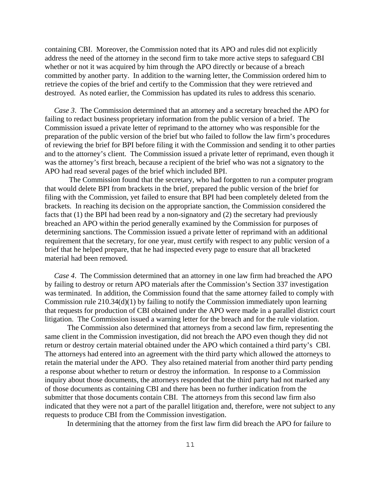containing CBI. Moreover, the Commission noted that its APO and rules did not explicitly address the need of the attorney in the second firm to take more active steps to safeguard CBI whether or not it was acquired by him through the APO directly or because of a breach committed by another party. In addition to the warning letter, the Commission ordered him to retrieve the copies of the brief and certify to the Commission that they were retrieved and destroyed. As noted earlier, the Commission has updated its rules to address this scenario.

 *Case 3*. The Commission determined that an attorney and a secretary breached the APO for failing to redact business proprietary information from the public version of a brief. The Commission issued a private letter of reprimand to the attorney who was responsible for the preparation of the public version of the brief but who failed to follow the law firm's procedures of reviewing the brief for BPI before filing it with the Commission and sending it to other parties and to the attorney's client. The Commission issued a private letter of reprimand, even though it was the attorney's first breach, because a recipient of the brief who was not a signatory to the APO had read several pages of the brief which included BPI.

 The Commission found that the secretary, who had forgotten to run a computer program that would delete BPI from brackets in the brief, prepared the public version of the brief for filing with the Commission, yet failed to ensure that BPI had been completely deleted from the brackets. In reaching its decision on the appropriate sanction, the Commission considered the facts that (1) the BPI had been read by a non-signatory and (2) the secretary had previously breached an APO within the period generally examined by the Commission for purposes of determining sanctions. The Commission issued a private letter of reprimand with an additional requirement that the secretary, for one year, must certify with respect to any public version of a brief that he helped prepare, that he had inspected every page to ensure that all bracketed material had been removed.

 *Case 4*. The Commission determined that an attorney in one law firm had breached the APO by failing to destroy or return APO materials after the Commission's Section 337 investigation was terminated. In addition, the Commission found that the same attorney failed to comply with Commission rule 210.34(d)(1) by failing to notify the Commission immediately upon learning that requests for production of CBI obtained under the APO were made in a parallel district court litigation. The Commission issued a warning letter for the breach and for the rule violation.

The Commission also determined that attorneys from a second law firm, representing the same client in the Commission investigation, did not breach the APO even though they did not return or destroy certain material obtained under the APO which contained a third party's CBI. The attorneys had entered into an agreement with the third party which allowed the attorneys to retain the material under the APO. They also retained material from another third party pending a response about whether to return or destroy the information. In response to a Commission inquiry about those documents, the attorneys responded that the third party had not marked any of those documents as containing CBI and there has been no further indication from the submitter that those documents contain CBI. The attorneys from this second law firm also indicated that they were not a part of the parallel litigation and, therefore, were not subject to any requests to produce CBI from the Commission investigation.

In determining that the attorney from the first law firm did breach the APO for failure to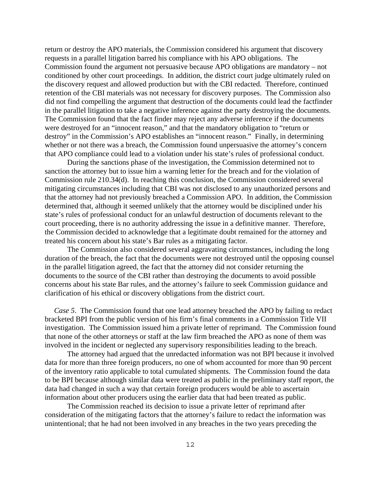return or destroy the APO materials, the Commission considered his argument that discovery requests in a parallel litigation barred his compliance with his APO obligations. The Commission found the argument not persuasive because APO obligations are mandatory – not conditioned by other court proceedings. In addition, the district court judge ultimately ruled on the discovery request and allowed production but with the CBI redacted. Therefore, continued retention of the CBI materials was not necessary for discovery purposes. The Commission also did not find compelling the argument that destruction of the documents could lead the factfinder in the parallel litigation to take a negative inference against the party destroying the documents. The Commission found that the fact finder may reject any adverse inference if the documents were destroyed for an "innocent reason," and that the mandatory obligation to "return or destroy" in the Commission's APO establishes an "innocent reason." Finally, in determining whether or not there was a breach, the Commission found unpersuasive the attorney's concern that APO compliance could lead to a violation under his state's rules of professional conduct.

During the sanctions phase of the investigation, the Commission determined not to sanction the attorney but to issue him a warning letter for the breach and for the violation of Commission rule 210.34(d). In reaching this conclusion, the Commission considered several mitigating circumstances including that CBI was not disclosed to any unauthorized persons and that the attorney had not previously breached a Commission APO. In addition, the Commission determined that, although it seemed unlikely that the attorney would be disciplined under his state's rules of professional conduct for an unlawful destruction of documents relevant to the court proceeding, there is no authority addressing the issue in a definitive manner. Therefore, the Commission decided to acknowledge that a legitimate doubt remained for the attorney and treated his concern about his state's Bar rules as a mitigating factor.

The Commission also considered several aggravating circumstances, including the long duration of the breach, the fact that the documents were not destroyed until the opposing counsel in the parallel litigation agreed, the fact that the attorney did not consider returning the documents to the source of the CBI rather than destroying the documents to avoid possible concerns about his state Bar rules, and the attorney's failure to seek Commission guidance and clarification of his ethical or discovery obligations from the district court.

 *Case 5*. The Commission found that one lead attorney breached the APO by failing to redact bracketed BPI from the public version of his firm's final comments in a Commission Title VII investigation. The Commission issued him a private letter of reprimand. The Commission found that none of the other attorneys or staff at the law firm breached the APO as none of them was involved in the incident or neglected any supervisory responsibilities leading to the breach.

The attorney had argued that the unredacted information was not BPI because it involved data for more than three foreign producers, no one of whom accounted for more than 90 percent of the inventory ratio applicable to total cumulated shipments. The Commission found the data to be BPI because although similar data were treated as public in the preliminary staff report, the data had changed in such a way that certain foreign producers would be able to ascertain information about other producers using the earlier data that had been treated as public.

The Commission reached its decision to issue a private letter of reprimand after consideration of the mitigating factors that the attorney's failure to redact the information was unintentional; that he had not been involved in any breaches in the two years preceding the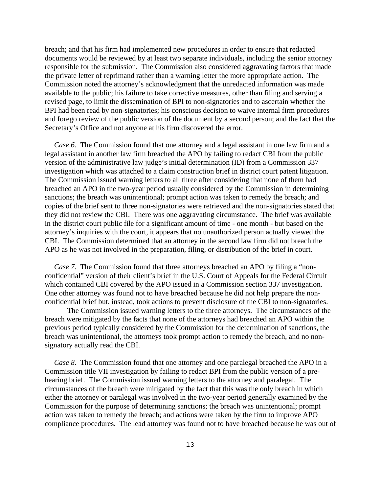breach; and that his firm had implemented new procedures in order to ensure that redacted documents would be reviewed by at least two separate individuals, including the senior attorney responsible for the submission. The Commission also considered aggravating factors that made the private letter of reprimand rather than a warning letter the more appropriate action. The Commission noted the attorney's acknowledgment that the unredacted information was made available to the public; his failure to take corrective measures, other than filing and serving a revised page, to limit the dissemination of BPI to non-signatories and to ascertain whether the BPI had been read by non-signatories; his conscious decision to waive internal firm procedures and forego review of the public version of the document by a second person; and the fact that the Secretary's Office and not anyone at his firm discovered the error.

 *Case 6*. The Commission found that one attorney and a legal assistant in one law firm and a legal assistant in another law firm breached the APO by failing to redact CBI from the public version of the administrative law judge's initial determination (ID) from a Commission 337 investigation which was attached to a claim construction brief in district court patent litigation. The Commission issued warning letters to all three after considering that none of them had breached an APO in the two-year period usually considered by the Commission in determining sanctions; the breach was unintentional; prompt action was taken to remedy the breach; and copies of the brief sent to three non-signatories were retrieved and the non-signatories stated that they did not review the CBI. There was one aggravating circumstance. The brief was available in the district court public file for a significant amount of time - one month - but based on the attorney's inquiries with the court, it appears that no unauthorized person actually viewed the CBI. The Commission determined that an attorney in the second law firm did not breach the APO as he was not involved in the preparation, filing, or distribution of the brief in court.

*Case 7.* The Commission found that three attorneys breached an APO by filing a "nonconfidential" version of their client's brief in the U.S. Court of Appeals for the Federal Circuit which contained CBI covered by the APO issued in a Commission section 337 investigation. One other attorney was found not to have breached because he did not help prepare the nonconfidential brief but, instead, took actions to prevent disclosure of the CBI to non-signatories.

The Commission issued warning letters to the three attorneys. The circumstances of the breach were mitigated by the facts that none of the attorneys had breached an APO within the previous period typically considered by the Commission for the determination of sanctions, the breach was unintentional, the attorneys took prompt action to remedy the breach, and no nonsignatory actually read the CBI.

 *Case 8.* The Commission found that one attorney and one paralegal breached the APO in a Commission title VII investigation by failing to redact BPI from the public version of a prehearing brief. The Commission issued warning letters to the attorney and paralegal. The circumstances of the breach were mitigated by the fact that this was the only breach in which either the attorney or paralegal was involved in the two-year period generally examined by the Commission for the purpose of determining sanctions; the breach was unintentional; prompt action was taken to remedy the breach; and actions were taken by the firm to improve APO compliance procedures. The lead attorney was found not to have breached because he was out of